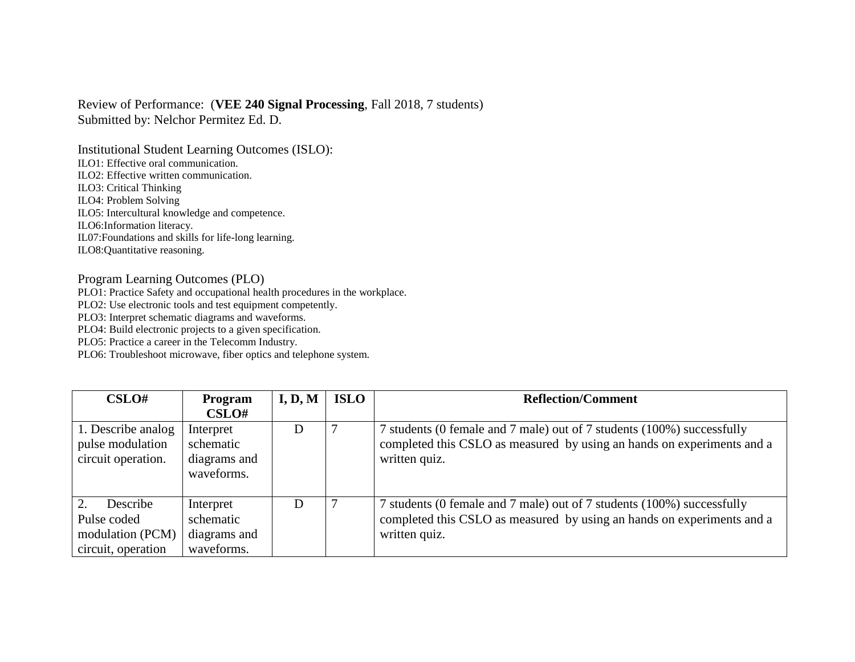## Review of Performance: (**VEE 240 Signal Processing**, Fall 2018, 7 students) Submitted by: Nelchor Permitez Ed. D.

Institutional Student Learning Outcomes (ISLO): ILO1: Effective oral communication. ILO2: Effective written communication. ILO3: Critical Thinking ILO4: Problem Solving ILO5: Intercultural knowledge and competence. ILO6:Information literacy. IL07:Foundations and skills for life-long learning. ILO8:Quantitative reasoning.

## Program Learning Outcomes (PLO)

PLO1: Practice Safety and occupational health procedures in the workplace.

PLO2: Use electronic tools and test equipment competently.

PLO3: Interpret schematic diagrams and waveforms.

PLO4: Build electronic projects to a given specification.

PLO5: Practice a career in the Telecomm Industry.

PLO6: Troubleshoot microwave, fiber optics and telephone system.

| CSLO#                                                             | Program                                              | I, D, M | <b>ISLO</b> | <b>Reflection/Comment</b>                                                                                                                                         |
|-------------------------------------------------------------------|------------------------------------------------------|---------|-------------|-------------------------------------------------------------------------------------------------------------------------------------------------------------------|
|                                                                   | CSLO#                                                |         |             |                                                                                                                                                                   |
| 1. Describe analog<br>pulse modulation<br>circuit operation.      | Interpret<br>schematic<br>diagrams and<br>waveforms. | D       |             | 7 students (0 female and 7 male) out of 7 students (100%) successfully<br>completed this CSLO as measured by using an hands on experiments and a<br>written quiz. |
| Describe<br>Pulse coded<br>modulation (PCM)<br>circuit, operation | Interpret<br>schematic<br>diagrams and<br>waveforms. | D       |             | 7 students (0 female and 7 male) out of 7 students (100%) successfully<br>completed this CSLO as measured by using an hands on experiments and a<br>written quiz. |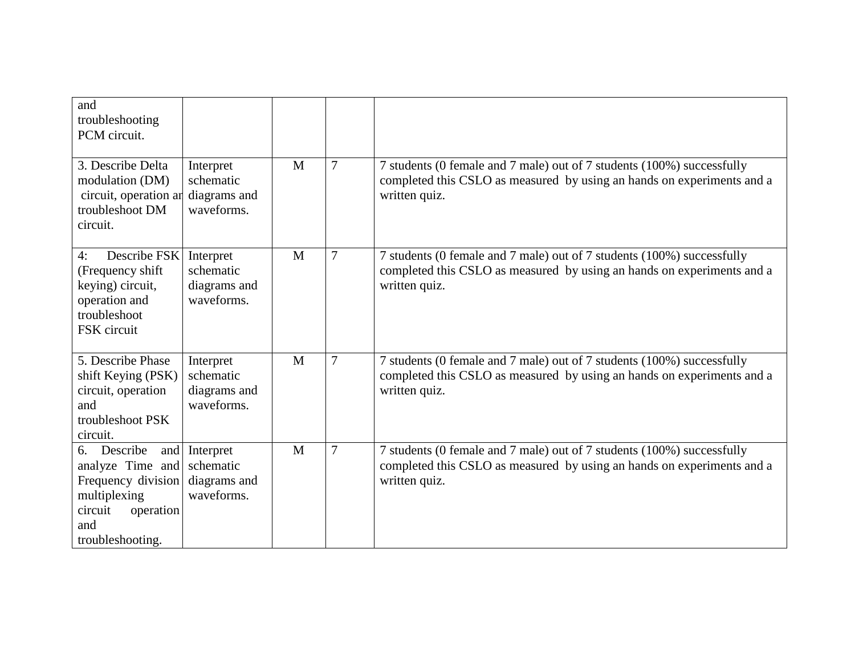| and<br>troubleshooting<br>PCM circuit.                                                                                      |                                                          |              |                |                                                                                                                                                                   |
|-----------------------------------------------------------------------------------------------------------------------------|----------------------------------------------------------|--------------|----------------|-------------------------------------------------------------------------------------------------------------------------------------------------------------------|
| 3. Describe Delta<br>modulation (DM)<br>circuit, operation an<br>troubleshoot DM<br>circuit.                                | Interpret<br>schematic<br>diagrams and<br>waveforms.     | $\mathbf{M}$ | 7              | 7 students (0 female and 7 male) out of 7 students (100%) successfully<br>completed this CSLO as measured by using an hands on experiments and a<br>written quiz. |
| Describe FSK<br>4:<br>(Frequency shift)<br>keying) circuit,<br>operation and<br>troubleshoot<br>FSK circuit                 | Interpret<br>schematic<br>diagrams and<br>waveforms.     | M            | 7              | 7 students (0 female and 7 male) out of 7 students (100%) successfully<br>completed this CSLO as measured by using an hands on experiments and a<br>written quiz. |
| 5. Describe Phase<br>shift Keying (PSK)<br>circuit, operation<br>and<br>troubleshoot PSK<br>circuit.                        | Interpret<br>schematic<br>diagrams and<br>waveforms.     | M            | $\overline{7}$ | 7 students (0 female and 7 male) out of 7 students (100%) successfully<br>completed this CSLO as measured by using an hands on experiments and a<br>written quiz. |
| Describe<br>6.<br>analyze Time and<br>Frequency division<br>multiplexing<br>circuit<br>operation<br>and<br>troubleshooting. | and Interpret<br>schematic<br>diagrams and<br>waveforms. | M            | $\overline{7}$ | 7 students (0 female and 7 male) out of 7 students (100%) successfully<br>completed this CSLO as measured by using an hands on experiments and a<br>written quiz. |